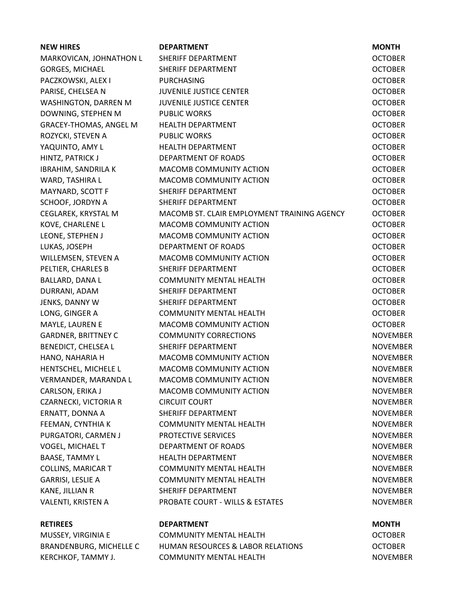| <b>NEW HIRES</b>              | <b>DEPARTMENT</b>                           | <b>MONTH</b>    |
|-------------------------------|---------------------------------------------|-----------------|
| MARKOVICAN, JOHNATHON L       | SHERIFF DEPARTMENT                          | <b>OCTOBER</b>  |
| <b>GORGES, MICHAEL</b>        | SHERIFF DEPARTMENT                          | <b>OCTOBER</b>  |
| PACZKOWSKI, ALEX I            | <b>PURCHASING</b>                           | <b>OCTOBER</b>  |
| PARISE, CHELSEA N             | <b>JUVENILE JUSTICE CENTER</b>              | <b>OCTOBER</b>  |
| WASHINGTON, DARREN M          | <b>JUVENILE JUSTICE CENTER</b>              | <b>OCTOBER</b>  |
| DOWNING, STEPHEN M            | <b>PUBLIC WORKS</b>                         | <b>OCTOBER</b>  |
| <b>GRACEY-THOMAS, ANGEL M</b> | <b>HEALTH DEPARTMENT</b>                    | <b>OCTOBER</b>  |
| ROZYCKI, STEVEN A             | <b>PUBLIC WORKS</b>                         | <b>OCTOBER</b>  |
| YAQUINTO, AMY L               | <b>HEALTH DEPARTMENT</b>                    | <b>OCTOBER</b>  |
| HINTZ, PATRICK J              | DEPARTMENT OF ROADS                         | <b>OCTOBER</b>  |
| <b>IBRAHIM, SANDRILA K</b>    | MACOMB COMMUNITY ACTION                     | <b>OCTOBER</b>  |
| WARD, TASHIRA L               | MACOMB COMMUNITY ACTION                     | <b>OCTOBER</b>  |
| MAYNARD, SCOTT F              | SHERIFF DEPARTMENT                          | <b>OCTOBER</b>  |
| SCHOOF, JORDYN A              | SHERIFF DEPARTMENT                          | <b>OCTOBER</b>  |
| CEGLAREK, KRYSTAL M           | MACOMB ST. CLAIR EMPLOYMENT TRAINING AGENCY | <b>OCTOBER</b>  |
| KOVE, CHARLENE L              | <b>MACOMB COMMUNITY ACTION</b>              | <b>OCTOBER</b>  |
| LEONE, STEPHEN J              | MACOMB COMMUNITY ACTION                     | <b>OCTOBER</b>  |
| LUKAS, JOSEPH                 | <b>DEPARTMENT OF ROADS</b>                  | <b>OCTOBER</b>  |
| WILLEMSEN, STEVEN A           | MACOMB COMMUNITY ACTION                     | <b>OCTOBER</b>  |
| PELTIER, CHARLES B            | SHERIFF DEPARTMENT                          | <b>OCTOBER</b>  |
| BALLARD, DANA L               | <b>COMMUNITY MENTAL HEALTH</b>              | <b>OCTOBER</b>  |
| DURRANI, ADAM                 | SHERIFF DEPARTMENT                          | <b>OCTOBER</b>  |
| JENKS, DANNY W                | SHERIFF DEPARTMENT                          | <b>OCTOBER</b>  |
| LONG, GINGER A                | <b>COMMUNITY MENTAL HEALTH</b>              | <b>OCTOBER</b>  |
| MAYLE, LAUREN E               | MACOMB COMMUNITY ACTION                     | <b>OCTOBER</b>  |
| <b>GARDNER, BRITTNEY C</b>    | <b>COMMUNITY CORRECTIONS</b>                | <b>NOVEMBER</b> |
| BENEDICT, CHELSEA L           | SHERIFF DEPARTMENT                          | <b>NOVEMBER</b> |
| HANO, NAHARIA H               | MACOMB COMMUNITY ACTION                     | <b>NOVEMBER</b> |
| HENTSCHEL, MICHELE L          | MACOMB COMMUNITY ACTION                     | <b>NOVEMBER</b> |
| VERMANDER, MARANDA L          | MACOMB COMMUNITY ACTION                     | <b>NOVEMBER</b> |
| CARLSON, ERIKA J              | MACOMB COMMUNITY ACTION                     | <b>NOVEMBER</b> |
| <b>CZARNECKI, VICTORIA R</b>  | <b>CIRCUIT COURT</b>                        | <b>NOVEMBER</b> |
| ERNATT, DONNA A               | SHERIFF DEPARTMENT                          | <b>NOVEMBER</b> |
| FEEMAN, CYNTHIA K             | <b>COMMUNITY MENTAL HEALTH</b>              | <b>NOVEMBER</b> |
| PURGATORI, CARMEN J           | PROTECTIVE SERVICES                         | <b>NOVEMBER</b> |
| VOGEL, MICHAEL T              | DEPARTMENT OF ROADS                         | <b>NOVEMBER</b> |
| <b>BAASE, TAMMY L</b>         | <b>HEALTH DEPARTMENT</b>                    | <b>NOVEMBER</b> |
| <b>COLLINS, MARICAR T</b>     | <b>COMMUNITY MENTAL HEALTH</b>              | <b>NOVEMBER</b> |
| GARRISI, LESLIE A             | <b>COMMUNITY MENTAL HEALTH</b>              | <b>NOVEMBER</b> |
| KANE, JILLIAN R               | SHERIFF DEPARTMENT                          | <b>NOVEMBER</b> |
| VALENTI, KRISTEN A            | PROBATE COURT - WILLS & ESTATES             | <b>NOVEMBER</b> |
| <b>RETIREES</b>               | <b>DEPARTMENT</b>                           | <b>MONTH</b>    |
| MUSSEY, VIRGINIA E            | <b>COMMUNITY MENTAL HEALTH</b>              | <b>OCTOBER</b>  |

BRANDENBURG, MICHELLE C HUMAN RESOURCES & LABOR RELATIONS OCTOBER KERCHKOF, TAMMY J. COMMUNITY MENTAL HEALTH COMMUNITY MENTAL HEALTH